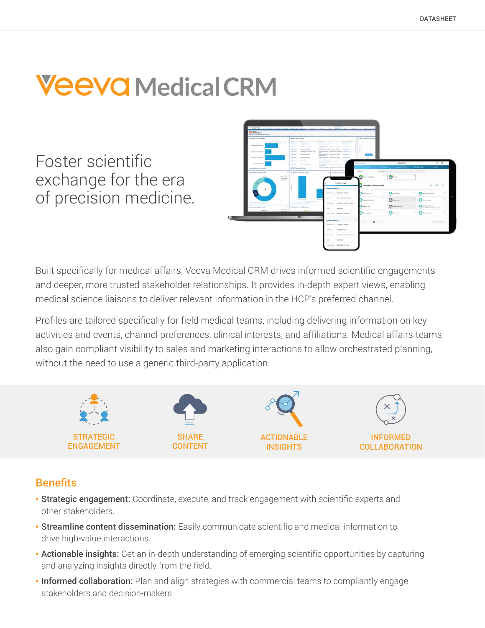# **Veeva** Medical CRM

Foster scientific exchange for the era of precision medicine.



Built specifically for medical affairs, Veeva Medical CRM drives informed scientific engagements and deeper, more trusted stakeholder relationships. It provides in-depth expert views, enabling medical science liaisons to deliver relevant information in the HCP's preferred channel.

Profiles are tailored specifically for field medical teams, including delivering information on key activities and events, channel preferences, clinical interests, and affiliations. Medical affairs teams also gain compliant visibility to sales and marketing interactions to allow orchestrated planning, without the need to use a generic third-party application.



# **Benefits**

- **· Strategic engagement:** Coordinate, execute, and track engagement with scientific experts and other stakeholders.
- Streamline content dissemination: Easily communicate scientific and medical information to drive high-value interactions.
- Actionable insights: Get an in-depth understanding of emerging scientific opportunities by capturing and analyzing insights directly from the field.
- Informed collaboration: Plan and align strategies with commercial teams to compliantly engage stakeholders and decision-makers.